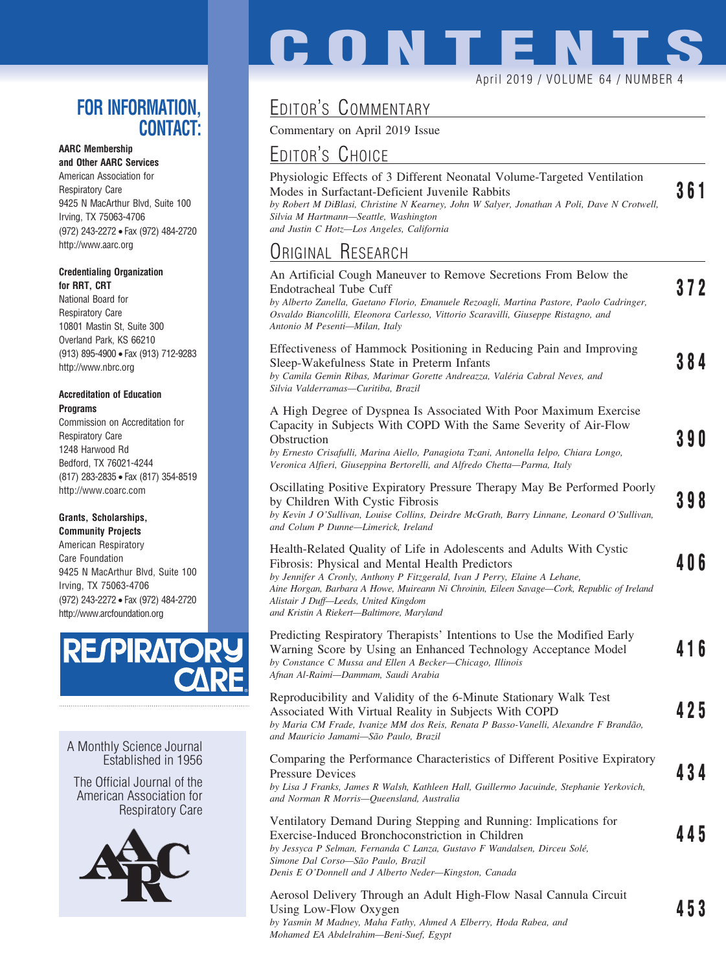### **FOR INFORMATION, CONTACT:**

### **AARC Membership**

**and Other AARC Services** American Association for Respiratory Care 9425 N MacArthur Blvd, Suite 100 Irving, TX 75063-4706 (972) 243-2272 • Fax (972) 484-2720 http://www.aarc.org

#### **Credentialing Organization for RRT, CRT**

National Board for Respiratory Care 10801 Mastin St, Suite 300 Overland Park, KS 66210 (913) 895-4900 • Fax (913) 712-9283 http://www.nbrc.org

#### **Accreditation of Education Programs**

Commission on Accreditation for Respiratory Care 1248 Harwood Rd Bedford, TX 76021-4244 (817) 283-2835 • Fax (817) 354-8519 http://www.coarc.com

### **Grants, Scholarships,**

**Community Projects** American Respiratory Care Foundation 9425 N MacArthur Blvd, Suite 100 Irving, TX 75063-4706 (972) 243-2272 • Fax (972) 484-2720 http://www.arcfoundation.org



A Monthly Science Journal Established in 1956

The Official Journal of the American Association for Respiratory Care



# EDITOR'S COMMENTARY

Commentary on April 2019 Issue

## EDITOR'S CHOICE

| Physiologic Effects of 3 Different Neonatal Volume-Targeted Ventilation                    |     |
|--------------------------------------------------------------------------------------------|-----|
| Modes in Surfactant-Deficient Juvenile Rabbits                                             | 361 |
| by Robert M DiBlasi, Christine N Kearney, John W Salyer, Jonathan A Poli, Dave N Crotwell, |     |
| Silvia M Hartmann—Seattle, Washington                                                      |     |
| and Justin C Hotz—Los Angeles, California                                                  |     |
|                                                                                            |     |

April 2019 / VOLUME 64 / NUMBER 4

**CONTENT** 

## ORIGINAL RESEARCH

| An Artificial Cough Maneuver to Remove Secretions From Below the<br>Endotracheal Tube Cuff<br>by Alberto Zanella, Gaetano Florio, Emanuele Rezoagli, Martina Pastore, Paolo Cadringer,<br>Osvaldo Biancolilli, Eleonora Carlesso, Vittorio Scaravilli, Giuseppe Ristagno, and<br>Antonio M Pesenti-Milan, Italy                                                                           | 372   |
|-------------------------------------------------------------------------------------------------------------------------------------------------------------------------------------------------------------------------------------------------------------------------------------------------------------------------------------------------------------------------------------------|-------|
| Effectiveness of Hammock Positioning in Reducing Pain and Improving<br>Sleep-Wakefulness State in Preterm Infants<br>by Camila Gemin Ribas, Marimar Gorette Andreazza, Valéria Cabral Neves, and<br>Silvia Valderramas-Curitiba, Brazil                                                                                                                                                   | 384   |
| A High Degree of Dyspnea Is Associated With Poor Maximum Exercise<br>Capacity in Subjects With COPD With the Same Severity of Air-Flow<br>Obstruction<br>by Ernesto Crisafulli, Marina Aiello, Panagiota Tzani, Antonella Ielpo, Chiara Longo,<br>Veronica Alfieri, Giuseppina Bertorelli, and Alfredo Chetta-Parma, Italy                                                                | 3 9 O |
| Oscillating Positive Expiratory Pressure Therapy May Be Performed Poorly<br>by Children With Cystic Fibrosis<br>by Kevin J O'Sullivan, Louise Collins, Deirdre McGrath, Barry Linnane, Leonard O'Sullivan,<br>and Colum P Dunne-Limerick, Ireland                                                                                                                                         | 398   |
| Health-Related Quality of Life in Adolescents and Adults With Cystic<br>Fibrosis: Physical and Mental Health Predictors<br>by Jennifer A Cronly, Anthony P Fitzgerald, Ivan J Perry, Elaine A Lehane,<br>Aine Horgan, Barbara A Howe, Muireann Ni Chroinin, Eileen Savage—Cork, Republic of Ireland<br>Alistair J Duff—Leeds, United Kingdom<br>and Kristin A Riekert-Baltimore, Maryland | 406   |
| Predicting Respiratory Therapists' Intentions to Use the Modified Early<br>Warning Score by Using an Enhanced Technology Acceptance Model<br>by Constance C Mussa and Ellen A Becker-Chicago, Illinois<br>Afnan Al-Raimi-Dammam, Saudi Arabia                                                                                                                                             | 416   |
| Reproducibility and Validity of the 6-Minute Stationary Walk Test<br>Associated With Virtual Reality in Subjects With COPD<br>by Maria CM Frade, Ivanize MM dos Reis, Renata P Basso-Vanelli, Alexandre F Brandão,<br>and Mauricio Jamami-São Paulo, Brazil                                                                                                                               | 425   |
| Comparing the Performance Characteristics of Different Positive Expiratory<br><b>Pressure Devices</b><br>by Lisa J Franks, James R Walsh, Kathleen Hall, Guillermo Jacuinde, Stephanie Yerkovich,<br>and Norman R Morris-Queensland, Australia                                                                                                                                            | 434   |
| Ventilatory Demand During Stepping and Running: Implications for<br>Exercise-Induced Bronchoconstriction in Children<br>by Jessyca P Selman, Fernanda C Lanza, Gustavo F Wandalsen, Dirceu Solé,<br>Simone Dal Corso-São Paulo, Brazil<br>Denis E O'Donnell and J Alberto Neder-Kingston, Canada                                                                                          | 445   |
| Aerosol Delivery Through an Adult High-Flow Nasal Cannula Circuit                                                                                                                                                                                                                                                                                                                         |       |

Using Low-Flow Oxygen **453** *by Yasmin M Madney, Maha Fathy, Ahmed A Elberry, Hoda Rabea, and Mohamed EA Abdelrahim—Beni-Suef, Egypt*